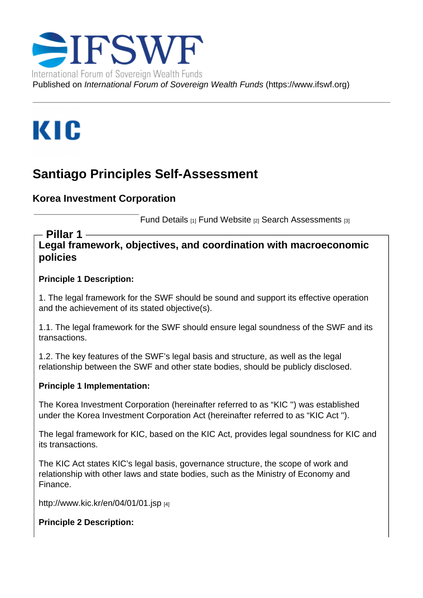## Santiago Principles Self-Assessment

Korea Investment Corporation

Fund Details [1] Fund Website [2] Search Assessments [3]

Legal framework, objectives, and coordination with macroeconomic policies Pillar 1

Principle 1 Description:

1. The legal framework for the SWF should be sound and support its effective operation and the achievement of its stated objective(s).

1.1. The legal framework for the SWF should ensure legal soundness of the SWF and its transactions.

1.2. The key features of the SWF's legal basis and structure, as well as the legal relationship between the SWF and other state bodies, should be publicly disclosed.

Principle 1 Implementation:

The Korea Investment Corporation (hereinafter referred to as "KIC '') was established under the Korea Investment Corporation Act (hereinafter referred to as "KIC Act '').

The legal framework for KIC, based on the KIC Act, provides legal soundness for KIC and its transactions.

The KIC Act states KIC's legal basis, governance structure, the scope of work and relationship with other laws and state bodies, such as the Ministry of Economy and Finance.

http://www.kic.kr/en/04/01/01.jsp [4]

Principle 2 Description: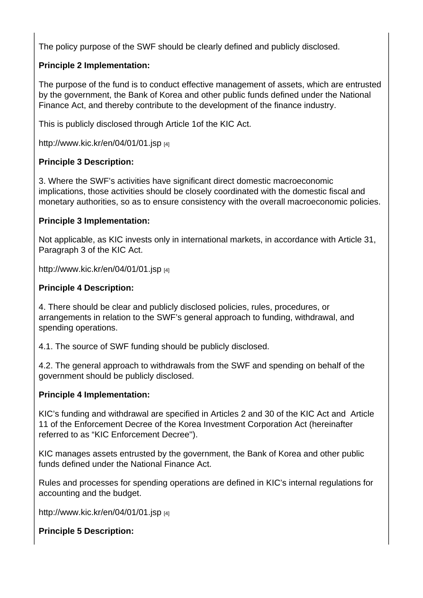The policy purpose of the SWF should be clearly defined and publicly disclosed.

Principle 2 Implementation:

The purpose of the fund is to conduct effective management of assets, which are entrusted by the government, the Bank of Korea and other public funds defined under the National Finance Act, and thereby contribute to the development of the finance industry.

This is publicly disclosed through Article 1of the KIC Act.

http://www.kic.kr/en/04/01/01.jsp [4]

Principle 3 Description:

[3. Where the SWF's activities ha](http://www.kic.kr/en/04/01/01.jsp)ve significant direct domestic macroeconomic implications, those activities should be closely coordinated with the domestic fiscal and monetary authorities, so as to ensure consistency with the overall macroeconomic policies.

Principle 3 Implementation:

Not applicable, as KIC invests only in international markets, in accordance with Article 31, Paragraph 3 of the KIC Act.

http://www.kic.kr/en/04/01/01.jsp [4]

Principle 4 Description:

[4. There should be clear and pub](http://www.kic.kr/en/04/01/01.jsp)licly disclosed policies, rules, procedures, or arrangements in relation to the SWF's general approach to funding, withdrawal, and spending operations.

4.1. The source of SWF funding should be publicly disclosed.

4.2. The general approach to withdrawals from the SWF and spending on behalf of the government should be publicly disclosed.

Principle 4 Implementation:

KIC's funding and withdrawal are specified in Articles 2 and 30 of the KIC Act and Article 11 of the Enforcement Decree of the Korea Investment Corporation Act (hereinafter referred to as "KIC Enforcement Decree'').

KIC manages assets entrusted by the government, the Bank of Korea and other public funds defined under the National Finance Act.

Rules and processes for spending operations are defined in KIC's internal regulations for accounting and the budget.

http://www.kic.kr/en/04/01/01.jsp [4]

Principle 5 Description: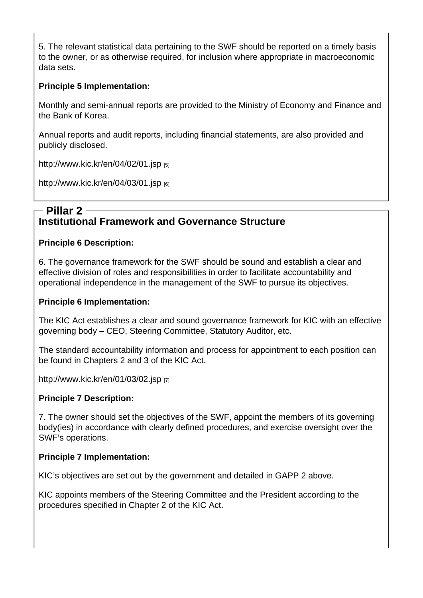5. The relevant statistical data pertaining to the SWF should be reported on a timely basis to the owner, or as otherwise required, for inclusion where appropriate in macroeconomic data sets.

Principle 5 Implementation:

Monthly and semi-annual reports are provided to the Ministry of Economy and Finance and the Bank of Korea.

Annual reports and audit reports, including financial statements, are also provided and publicly disclosed.

http://www.kic.kr/en/04/02/01.jsp [5]

http://www.kic.kr/en/04/03/01.jsp  $_{[6]}$ 

## [Institutional Framework and](http://www.kic.kr/en/04/03/01.jsp) Governance Structure Pillar 2

Principle 6 Description:

6. The governance framework for the SWF should be sound and establish a clear and effective division of roles and responsibilities in order to facilitate accountability and operational independence in the management of the SWF to pursue its objectives.

Principle 6 Implementation:

The KIC Act establishes a clear and sound governance framework for KIC with an effective governing body – CEO, Steering Committee, Statutory Auditor, etc.

The standard accountability information and process for appointment to each position can be found in Chapters 2 and 3 of the KIC Act.

http://www.kic.kr/en/01/03/02.jsp [7]

Principle 7 Description:

[7. The owner should set the obje](http://www.kic.kr/en/01/03/02.jsp)ctives of the SWF, appoint the members of its governing body(ies) in accordance with clearly defined procedures, and exercise oversight over the SWF's operations.

Principle 7 Implementation:

KIC's objectives are set out by the government and detailed in GAPP 2 above.

KIC appoints members of the Steering Committee and the President according to the procedures specified in Chapter 2 of the KIC Act.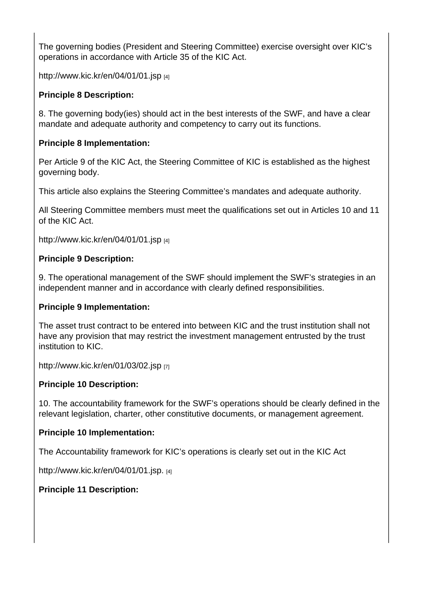The governing bodies (President and Steering Committee) exercise oversight over KIC's operations in accordance with Article 35 of the KIC Act.

http://www.kic.kr/en/04/01/01.jsp [4]

Principle 8 Description:

[8. The governing body\(ies\) shoul](http://www.kic.kr/en/04/01/01.jsp)d act in the best interests of the SWF, and have a clear mandate and adequate authority and competency to carry out its functions.

Principle 8 Implementation:

Per Article 9 of the KIC Act, the Steering Committee of KIC is established as the highest governing body.

This article also explains the Steering Committee's mandates and adequate authority.

All Steering Committee members must meet the qualifications set out in Articles 10 and 11 of the KIC Act.

http://www.kic.kr/en/04/01/01.jsp [4]

Principle 9 Description:

[9. The operational management](http://www.kic.kr/en/04/01/01.jsp) of the SWF should implement the SWF's strategies in an independent manner and in accordance with clearly defined responsibilities.

Principle 9 Implementation:

The asset trust contract to be entered into between KIC and the trust institution shall not have any provision that may restrict the investment management entrusted by the trust institution to KIC.

http://www.kic.kr/en/01/03/02.jsp [7]

Principle 10 Description:

[10. The accountability framework](http://www.kic.kr/en/01/03/02.jsp) for the SWF's operations should be clearly defined in the relevant legislation, charter, other constitutive documents, or management agreement.

Principle 10 Implementation:

The Accountability framework for KIC's operations is clearly set out in the KIC Act

http://www.kic.kr/en/04/01/01.jsp. [4]

Principle 11 Description: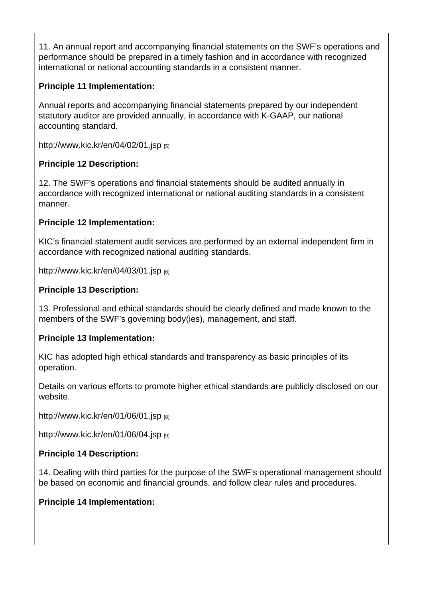11. An annual report and accompanying financial statements on the SWF's operations and performance should be prepared in a timely fashion and in accordance with recognized international or national accounting standards in a consistent manner.

Principle 11 Implementation:

Annual reports and accompanying financial statements prepared by our independent statutory auditor are provided annually, in accordance with K-GAAP, our national accounting standard.

http://www.kic.kr/en/04/02/01.jsp [5]

Principle 12 Description:

[12. The SWF's operations and fin](http://www.kic.kr/en/04/02/01.jsp)ancial statements should be audited annually in accordance with recognized international or national auditing standards in a consistent manner.

Principle 12 Implementation:

KIC's financial statement audit services are performed by an external independent firm in accordance with recognized national auditing standards.

http://www.kic.kr/en/04/03/01.jsp [6]

Principle 13 Description:

[13. Professional and ethical stan](http://www.kic.kr/en/04/03/01.jsp)dards should be clearly defined and made known to the members of the SWF's governing body(ies), management, and staff.

Principle 13 Implementation:

KIC has adopted high ethical standards and transparency as basic principles of its operation.

Details on various efforts to promote higher ethical standards are publicly disclosed on our website.

http://www.kic.kr/en/01/06/01.jsp [8]

http://www.kic.kr/en/01/06/04.jsp [9]

[Principle 14 Description:](http://www.kic.kr/en/01/06/01.jsp) 

[14. Dealing with third parties for t](http://www.kic.kr/en/01/06/04.jsp)he purpose of the SWF's operational management should be based on economic and financial grounds, and follow clear rules and procedures.

Principle 14 Implementation: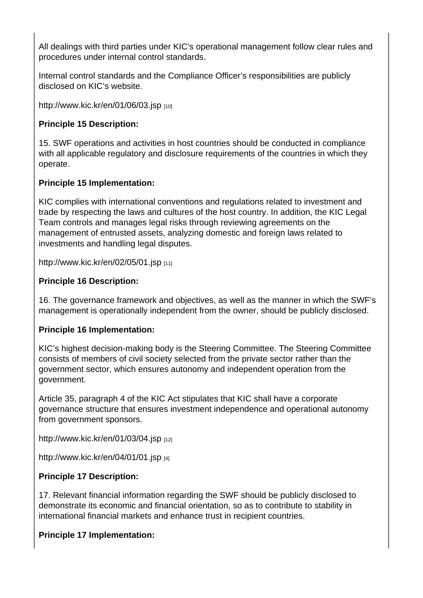All dealings with third parties under KIC's operational management follow clear rules and procedures under internal control standards.

Internal control standards and the Compliance Officer's responsibilities are publicly disclosed on KIC's website.

http://www.kic.kr/en/01/06/03.jsp [10]

Principle 15 Description:

[15. SWF operations and activitie](http://www.kic.kr/en/01/06/03.jsp)s in host countries should be conducted in compliance with all applicable regulatory and disclosure requirements of the countries in which they operate.

Principle 15 Implementation:

KIC complies with international conventions and regulations related to investment and trade by respecting the laws and cultures of the host country. In addition, the KIC Legal Team controls and manages legal risks through reviewing agreements on the management of entrusted assets, analyzing domestic and foreign laws related to investments and handling legal disputes.

http://www.kic.kr/en/02/05/01.jsp [11]

Principle 16 Description:

[16. The governance framework a](http://www.kic.kr/en/02/05/01.jsp)nd objectives, as well as the manner in which the SWF's management is operationally independent from the owner, should be publicly disclosed.

Principle 16 Implementation:

KIC's highest decision-making body is the Steering Committee. The Steering Committee consists of members of civil society selected from the private sector rather than the government sector, which ensures autonomy and independent operation from the government.

Article 35, paragraph 4 of the KIC Act stipulates that KIC shall have a corporate governance structure that ensures investment independence and operational autonomy from government sponsors.

http://www.kic.kr/en/01/03/04.jsp  $_{[12]}$ 

http://www.kic.kr/en/04/01/01.jsp [4]

[Principle 17 Description:](http://www.kic.kr/en/01/03/04.jsp) 

[17. Relevant financial information](http://www.kic.kr/en/04/01/01.jsp) regarding the SWF should be publicly disclosed to demonstrate its economic and financial orientation, so as to contribute to stability in international financial markets and enhance trust in recipient countries.

Principle 17 Implementation: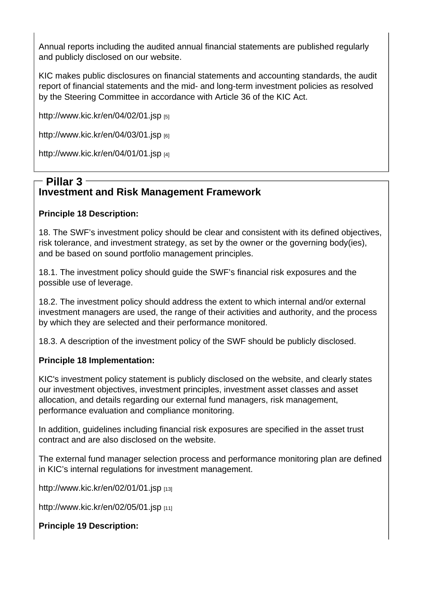Annual reports including the audited annual financial statements are published regularly and publicly disclosed on our website.

KIC makes public disclosures on financial statements and accounting standards, the audit report of financial statements and the mid- and long-term investment policies as resolved by the Steering Committee in accordance with Article 36 of the KIC Act.

http://www.kic.kr/en/04/02/01.jsp [5]

http://www.kic.kr/en/04/03/01.jsp [6]

[http://www.kic.kr/en/04/01/01.jsp](http://www.kic.kr/en/04/02/01.jsp) [4]

## [Investment and Risk Manag](http://www.kic.kr/en/04/01/01.jsp)ement Framework Pillar 3

Principle 18 Description:

18. The SWF's investment policy should be clear and consistent with its defined objectives, risk tolerance, and investment strategy, as set by the owner or the governing body(ies), and be based on sound portfolio management principles.

18.1. The investment policy should guide the SWF's financial risk exposures and the possible use of leverage.

18.2. The investment policy should address the extent to which internal and/or external investment managers are used, the range of their activities and authority, and the process by which they are selected and their performance monitored.

18.3. A description of the investment policy of the SWF should be publicly disclosed.

Principle 18 Implementation:

KIC's investment policy statement is publicly disclosed on the website, and clearly states our investment objectives, investment principles, investment asset classes and asset allocation, and details regarding our external fund managers, risk management, performance evaluation and compliance monitoring.

In addition, guidelines including financial risk exposures are specified in the asset trust contract and are also disclosed on the website.

The external fund manager selection process and performance monitoring plan are defined in KIC's internal regulations for investment management.

http://www.kic.kr/en/02/01/01.jsp [13]

http://www.kic.kr/en/02/05/01.jsp [11]

[Principle 19 Description:](http://www.kic.kr/en/02/01/01.jsp)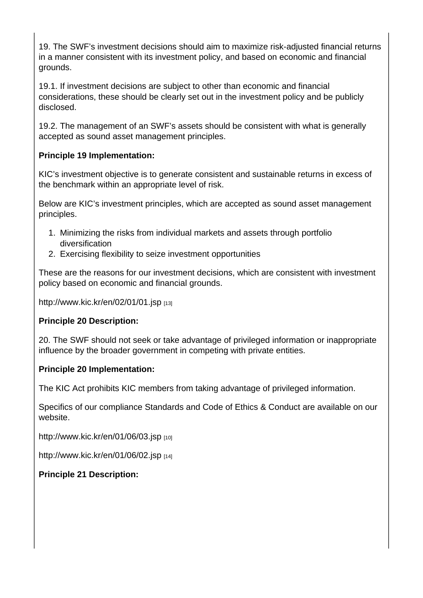19. The SWF's investment decisions should aim to maximize risk-adjusted financial returns in a manner consistent with its investment policy, and based on economic and financial grounds.

19.1. If investment decisions are subject to other than economic and financial considerations, these should be clearly set out in the investment policy and be publicly disclosed.

19.2. The management of an SWF's assets should be consistent with what is generally accepted as sound asset management principles.

Principle 19 Implementation:

KIC's investment objective is to generate consistent and sustainable returns in excess of the benchmark within an appropriate level of risk.

Below are KIC's investment principles, which are accepted as sound asset management principles.

- 1. Minimizing the risks from individual markets and assets through portfolio diversification
- 2. Exercising flexibility to seize investment opportunities

These are the reasons for our investment decisions, which are consistent with investment policy based on economic and financial grounds.

http://www.kic.kr/en/02/01/01.jsp [13]

Principle 20 Description:

[20. The SWF should not seek or](http://www.kic.kr/en/02/01/01.jsp) take advantage of privileged information or inappropriate influence by the broader government in competing with private entities.

Principle 20 Implementation:

The KIC Act prohibits KIC members from taking advantage of privileged information.

Specifics of our compliance Standards and Code of Ethics & Conduct are available on our website.

http://www.kic.kr/en/01/06/03.jsp [10]

http://www.kic.kr/en/01/06/02.jsp [14]

[Principle 21 Description:](http://www.kic.kr/en/01/06/03.jsp)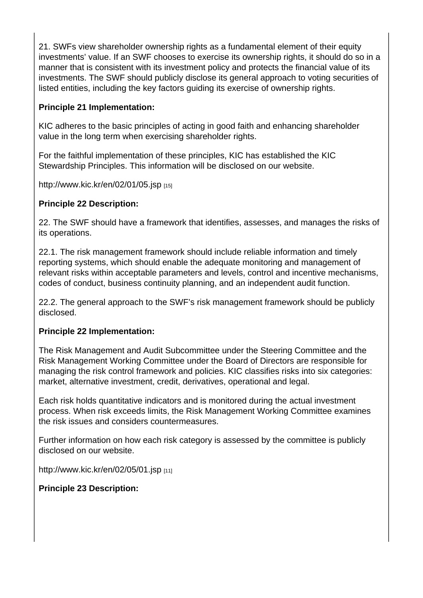21. SWFs view shareholder ownership rights as a fundamental element of their equity investments' value. If an SWF chooses to exercise its ownership rights, it should do so in a manner that is consistent with its investment policy and protects the financial value of its investments. The SWF should publicly disclose its general approach to voting securities of listed entities, including the key factors guiding its exercise of ownership rights.

Principle 21 Implementation:

KIC adheres to the basic principles of acting in good faith and enhancing shareholder value in the long term when exercising shareholder rights.

For the faithful implementation of these principles, KIC has established the KIC Stewardship Principles. This information will be disclosed on our website.

http://www.kic.kr/en/02/01/05.jsp  $_{[15]}$ 

Principle 22 Description:

[22. The SWF should have a fram](http://www.kic.kr/en/02/01/05.jsp)ework that identifies, assesses, and manages the risks of its operations.

22.1. The risk management framework should include reliable information and timely reporting systems, which should enable the adequate monitoring and management of relevant risks within acceptable parameters and levels, control and incentive mechanisms, codes of conduct, business continuity planning, and an independent audit function.

22.2. The general approach to the SWF's risk management framework should be publicly disclosed.

Principle 22 Implementation:

The Risk Management and Audit Subcommittee under the Steering Committee and the Risk Management Working Committee under the Board of Directors are responsible for managing the risk control framework and policies. KIC classifies risks into six categories: market, alternative investment, credit, derivatives, operational and legal.

Each risk holds quantitative indicators and is monitored during the actual investment process. When risk exceeds limits, the Risk Management Working Committee examines the risk issues and considers countermeasures.

Further information on how each risk category is assessed by the committee is publicly disclosed on our website.

http://www.kic.kr/en/02/05/01.jsp  $_{[11]}$ 

Principle 23 Description: